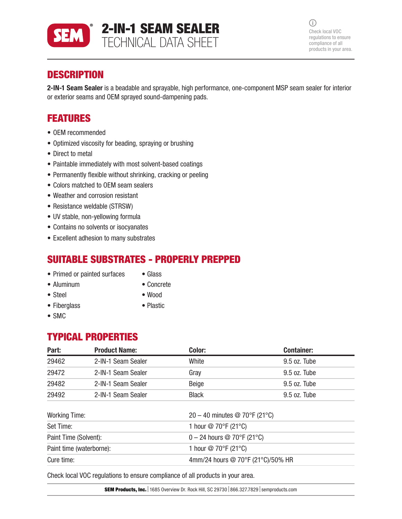

 $\bigcirc$ Check local VOC regulations to ensure compliance of all products in your area.

# **DESCRIPTION**

2-IN-1 Seam Sealer is a beadable and sprayable, high performance, one-component MSP seam sealer for interior or exterior seams and OEM sprayed sound-dampening pads.

## FEATURES

- OEM recommended
- Optimized viscosity for beading, spraying or brushing
- Direct to metal
- Paintable immediately with most solvent-based coatings
- Permanently flexible without shrinking, cracking or peeling
- Colors matched to OEM seam sealers
- Weather and corrosion resistant
- Resistance weldable (STRSW)
- UV stable, non-yellowing formula
- Contains no solvents or isocyanates
- Excellent adhesion to many substrates

## SUITABLE SUBSTRATES - PROPERLY PREPPED

- Primed or painted surfaces Glass
- Aluminum Concrete
- 

- 
- Steel Wood
	-

• SMC

### • Fiberglass • Plastic

# TYPICAL PROPERTIES

| Part:                    | <b>Product Name:</b> | Color:                            | <b>Container:</b> |  |
|--------------------------|----------------------|-----------------------------------|-------------------|--|
| 29462                    | 2-IN-1 Seam Sealer   | White                             | 9.5 oz. Tube      |  |
| 29472                    | 2-IN-1 Seam Sealer   | Gray                              | $9.5$ oz. Tube    |  |
| 29482                    | 2-IN-1 Seam Sealer   | Beige                             | 9.5 oz. Tube      |  |
| 29492                    | 2-IN-1 Seam Sealer   | <b>Black</b>                      | 9.5 oz. Tube      |  |
| <b>Working Time:</b>     |                      | 20 - 40 minutes @ 70°F (21°C)     |                   |  |
| Set Time:                |                      | 1 hour @ 70°F (21°C)              |                   |  |
| Paint Time (Solvent):    |                      | $0 - 24$ hours @ 70°F (21°C)      |                   |  |
| Paint time (waterborne): |                      | 1 hour @ 70°F (21°C)              |                   |  |
| Cure time:               |                      | 4mm/24 hours @ 70°F (21°C)/50% HR |                   |  |
|                          |                      |                                   |                   |  |

Check local VOC regulations to ensure compliance of all products in your area.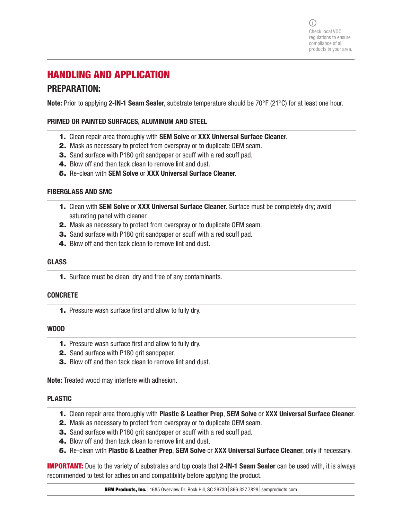# HANDLING AND APPLICATION

## PREPARATION:

Note: Prior to applying 2-IN-1 Seam Sealer, substrate temperature should be 70°F (21°C) for at least one hour.

#### PRIMED OR PAINTED SURFACES, ALUMINUM AND STEEL

- 1. Clean repair area thoroughly with SEM Solve or XXX Universal Surface Cleaner.
- 2. Mask as necessary to protect from overspray or to duplicate OEM seam.
- **3.** Sand surface with P180 grit sandpaper or scuff with a red scuff pad.
- 4. Blow off and then tack clean to remove lint and dust.
- 5. Re-clean with SEM Solve or XXX Universal Surface Cleaner.

#### FIBERGLASS AND SMC

- **1.** Clean with SEM Solve or XXX Universal Surface Cleaner. Surface must be completely dry; avoid saturating panel with cleaner.
- 2. Mask as necessary to protect from overspray or to duplicate OEM seam.
- **3.** Sand surface with P180 grit sandpaper or scuff with a red scuff pad.
- 4. Blow off and then tack clean to remove lint and dust.

#### **GLASS**

1. Surface must be clean, dry and free of any contaminants.

#### **CONCRETE**

1. Pressure wash surface first and allow to fully dry.

#### WOOD

- 1. Pressure wash surface first and allow to fully dry.
- 2. Sand surface with P180 grit sandpaper.
- 3. Blow off and then tack clean to remove lint and dust.

Note: Treated wood may interfere with adhesion.

#### PLASTIC

- 1. Clean repair area thoroughly with Plastic & Leather Prep, SEM Solve or XXX Universal Surface Cleaner.
- 2. Mask as necessary to protect from overspray or to duplicate OEM seam.
- **3.** Sand surface with P180 grit sandpaper or scuff with a red scuff pad.
- 4. Blow off and then tack clean to remove lint and dust.
- 5. Re-clean with Plastic & Leather Prep, SEM Solve or XXX Universal Surface Cleaner, only if necessary.

**IMPORTANT:** Due to the variety of substrates and top coats that 2-IN-1 Seam Sealer can be used with, it is always recommended to test for adhesion and compatibility before applying the product.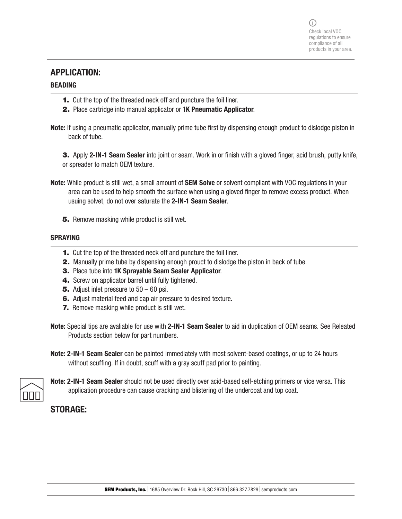### APPLICATION:

#### BEADING

- 1. Cut the top of the threaded neck off and puncture the foil liner.
- 2. Place cartridge into manual applicator or 1K Pneumatic Applicator.
- Note: If using a pneumatic applicator, manually prime tube first by dispensing enough product to dislodge piston in back of tube.

3. Apply 2-IN-1 Seam Sealer into joint or seam. Work in or finish with a gloved finger, acid brush, putty knife, or spreader to match OEM texture.

- Note: While product is still wet, a small amount of **SEM Solve** or solvent compliant with VOC regulations in your area can be used to help smooth the surface when using a gloved finger to remove excess product. When usuing solvet, do not over saturate the 2-IN-1 Seam Sealer.
	- 5. Remove masking while product is still wet.

#### SPRAYING

- 1. Cut the top of the threaded neck off and puncture the foil liner.
- 2. Manually prime tube by dispensing enough prouct to dislodge the piston in back of tube.
- 3. Place tube into 1K Sprayable Seam Sealer Applicator.
- 4. Screw on applicator barrel until fully tightened.
- **5.** Adjust inlet pressure to  $50 60$  psi.
- 6. Adjust material feed and cap air pressure to desired texture.
- **7.** Remove masking while product is still wet.

Note: Special tips are avaliable for use with 2-IN-1 Seam Sealer to aid in duplication of OEM seams. See Releated Products section below for part numbers.

Note: 2-IN-1 Seam Sealer can be painted immediately with most solvent-based coatings, or up to 24 hours without scuffing. If in doubt, scuff with a gray scuff pad prior to painting.



Note: 2-IN-1 Seam Sealer should not be used directly over acid-based self-etching primers or vice versa. This application procedure can cause cracking and blistering of the undercoat and top coat.

## STORAGE: